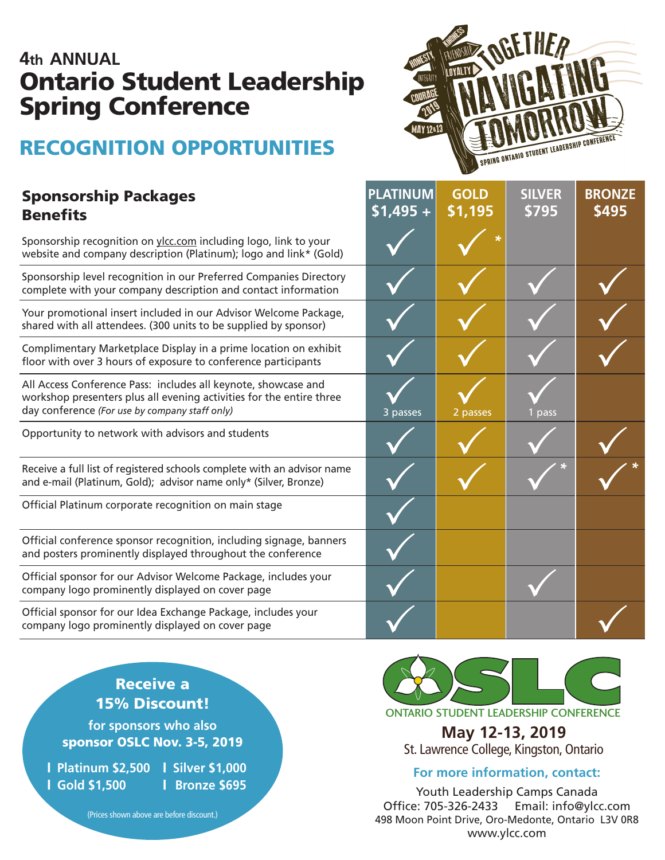## **4th ANNUAL** Ontario Student Leadership Spring Conference

# RECOGNITION OPPORTUNITIES

### **Benefits** Sponsorship Packages

Sponsorship recognition on ylcc.com including logo, link to website and company description (Platinum); logo and link

Sponsorship level recognition in our Preferred Companies complete with your company description and contact infor

Your promotional insert included in our Advisor Welcome shared with all attendees. (300 units to be supplied by spo

Complimentary Marketplace Display in a prime location or floor with over 3 hours of exposure to conference participa

All Access Conference Pass: includes all keynote, showcase workshop presenters plus all evening activities for the entire day conference *(For use by company staff only)*

Opportunity to network with advisors and students

Receive a full list of registered schools complete with an adv and e-mail (Platinum, Gold); advisor name only\* (Silver, Bro

Official Platinum corporate recognition on main stage

Official conference sponsor recognition, including signage and posters prominently displayed throughout the confere

Official sponsor for our Advisor Welcome Package, include company logo prominently displayed on cover page

Official sponsor for our Idea Exchange Package, includes your company logo prominently displayed on cover page



|                      | <b>PLATINUM</b><br>$$1,495 +$ | <b>GOLD</b><br>\$1,195 | <b>SILVER</b><br>5795 | <b>BRONZE</b><br>\$495 |
|----------------------|-------------------------------|------------------------|-----------------------|------------------------|
| o your<br>k* (Gold)  |                               | *                      |                       |                        |
| Directory<br>rmation |                               |                        |                       |                        |
| Package,<br>nsor)    |                               |                        |                       |                        |
| n exhibit<br>ants    |                               |                        |                       |                        |
| and<br>ire three     | 3 passes                      | 2 passes               | 1 pass                |                        |
|                      |                               |                        |                       |                        |
| visor name<br>onze)  |                               |                        | $\star$               |                        |
|                      |                               |                        |                       |                        |
| , banners<br>ence    |                               |                        |                       |                        |
| es your              |                               |                        |                       |                        |
| our                  |                               |                        |                       |                        |

## Receive a 15% Discount!

**for sponsors who also**  sponsor OSLC Nov. 3-5, 2019

| **Platinum \$2,500** | **Silver \$1,000** | **Gold \$1,500**

| **Bronze \$695**

ONTARIO STUDENT LEADERSHIP CONFERENCE

**May 12-13, 2019** St. Lawrence College, Kingston, Ontario

#### **For more information, contact:**

Youth Leadership Camps Canada Office: 705-326-2433 Email: info@ylcc.com 498 Moon Point Drive, Oro-Medonte, Ontario L3V 0R8 www.ylcc.com

(Prices shown above are before discount.)